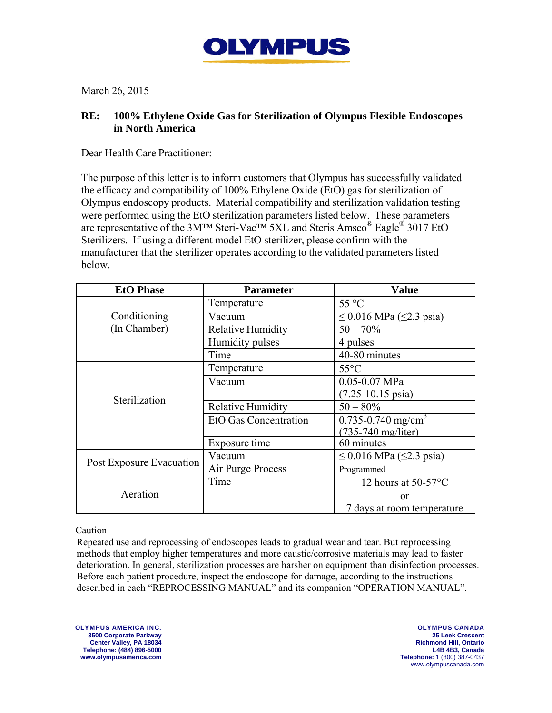

March 26, 2015

## **RE: 100% Ethylene Oxide Gas for Sterilization of Olympus Flexible Endoscopes in North America**

Dear Health Care Practitioner:

The purpose of this letter is to inform customers that Olympus has successfully validated the efficacy and compatibility of 100% Ethylene Oxide (EtO) gas for sterilization of Olympus endoscopy products. Material compatibility and sterilization validation testing were performed using the EtO sterilization parameters listed below. These parameters are representative of the 3M™ Steri-Vac™ 5XL and Steris Amsco® Eagle® 3017 EtO Sterilizers. If using a different model EtO sterilizer, please confirm with the manufacturer that the sterilizer operates according to the validated parameters listed below.

| <b>EtO Phase</b>             | <b>Parameter</b>             | <b>Value</b>                        |
|------------------------------|------------------------------|-------------------------------------|
| Conditioning<br>(In Chamber) | Temperature                  | 55 °C                               |
|                              | Vacuum                       | $\leq$ 0.016 MPa ( $\leq$ 2.3 psia) |
|                              | <b>Relative Humidity</b>     | $50 - 70\%$                         |
|                              | Humidity pulses              | 4 pulses                            |
|                              | Time                         | 40-80 minutes                       |
| Sterilization                | Temperature                  | $55^{\circ}$ C                      |
|                              | Vacuum                       | $0.05 - 0.07$ MPa                   |
|                              |                              | $(7.25 - 10.15 \text{ psia})$       |
|                              | <b>Relative Humidity</b>     | $50 - 80\%$                         |
|                              | <b>EtO Gas Concentration</b> | $0.735 - 0.740$ mg/cm <sup>3</sup>  |
|                              |                              | $(735 - 740 \text{ mg/liter})$      |
|                              | Exposure time                | 60 minutes                          |
| Post Exposure Evacuation     | Vacuum                       | $\leq$ 0.016 MPa ( $\leq$ 2.3 psia) |
|                              | Air Purge Process            | Programmed                          |
| Aeration                     | Time                         | 12 hours at $50-57$ °C              |
|                              |                              | or                                  |
|                              |                              | 7 days at room temperature          |

## Caution

Repeated use and reprocessing of endoscopes leads to gradual wear and tear. But reprocessing methods that employ higher temperatures and more caustic/corrosive materials may lead to faster deterioration. In general, sterilization processes are harsher on equipment than disinfection processes. Before each patient procedure, inspect the endoscope for damage, according to the instructions described in each "REPROCESSING MANUAL" and its companion "OPERATION MANUAL".

OLYMPUS AMERICA INC. **3500 Corporate Parkway Center Valley, PA 18034 Telephone: (484) 896-5000 www.olympusamerica.com**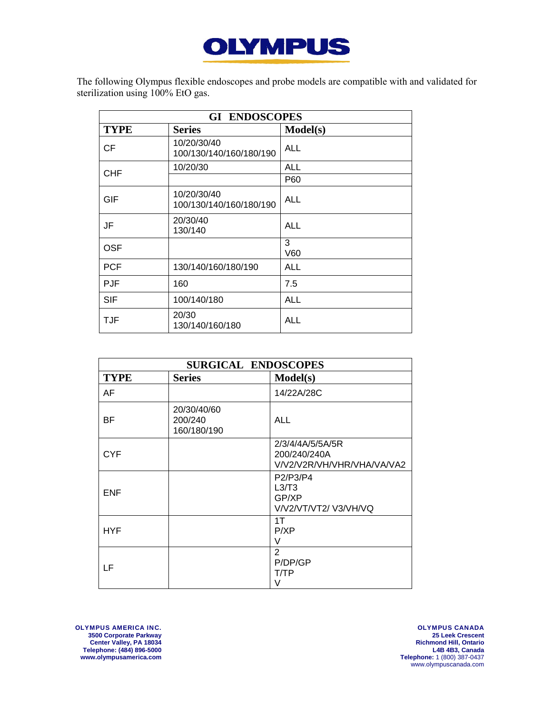

The following Olympus flexible endoscopes and probe models are compatible with and validated for sterilization using 100% EtO gas.

| <b>GI ENDOSCOPES</b> |                                        |            |  |  |
|----------------------|----------------------------------------|------------|--|--|
| <b>TYPE</b>          | <b>Series</b>                          | Model(s)   |  |  |
| <b>CF</b>            | 10/20/30/40<br>100/130/140/160/180/190 | <b>ALL</b> |  |  |
| <b>CHF</b>           | 10/20/30                               | <b>ALL</b> |  |  |
|                      |                                        | P60        |  |  |
| GIF                  | 10/20/30/40<br>100/130/140/160/180/190 | <b>ALL</b> |  |  |
| JF                   | 20/30/40<br>130/140                    | <b>ALL</b> |  |  |
| <b>OSF</b>           |                                        | 3<br>V60   |  |  |
| <b>PCF</b>           | 130/140/160/180/190                    | <b>ALL</b> |  |  |
| <b>PJF</b>           | 160                                    | 7.5        |  |  |
| SIF                  | 100/140/180                            | <b>ALL</b> |  |  |
| <b>TJF</b>           | 20/30<br>130/140/160/180               | <b>ALL</b> |  |  |

| <b>SURGICAL ENDOSCOPES</b> |                                       |                                                                |  |
|----------------------------|---------------------------------------|----------------------------------------------------------------|--|
| <b>TYPE</b>                | <b>Series</b>                         | Model(s)                                                       |  |
| AF                         |                                       | 14/22A/28C                                                     |  |
| ВF                         | 20/30/40/60<br>200/240<br>160/180/190 | <b>ALL</b>                                                     |  |
| <b>CYF</b>                 |                                       | 2/3/4/4A/5/5A/5R<br>200/240/240A<br>V/V2/V2R/VH/VHR/VHA/VA/VA2 |  |
| <b>ENF</b>                 |                                       | P2/P3/P4<br>L3/T3<br>GP/XP<br>V/V2/VT/VT2/V3/VH/VQ             |  |
| <b>HYF</b>                 |                                       | 1T<br>P/XP<br>V                                                |  |
| LF                         |                                       | $\overline{2}$<br>P/DP/GP<br>T/TP<br>V                         |  |

OLYMPUS AMERICA INC. **3500 Corporate Parkway Center Valley, PA 18034 Telephone: (484) 896-5000 www.olympusamerica.com**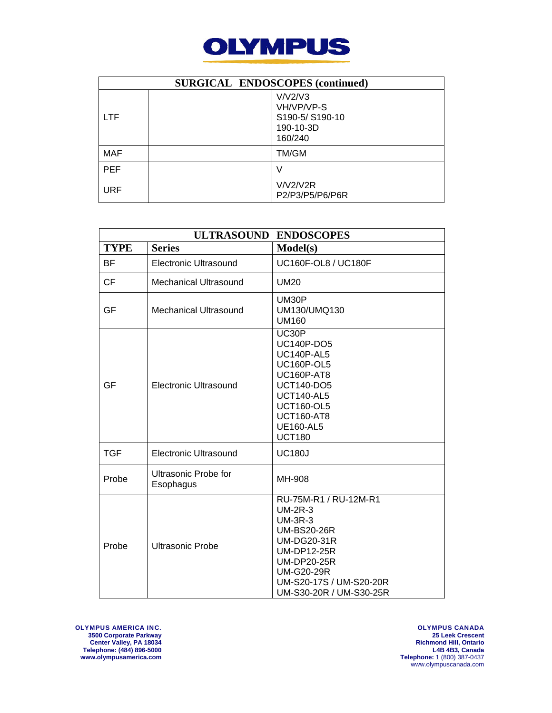

| <b>SURGICAL ENDOSCOPES (continued)</b> |  |                                                                 |  |
|----------------------------------------|--|-----------------------------------------------------------------|--|
| <b>LTF</b>                             |  | V/V2/V3<br>VH/VP/VP-S<br>S190-5/S190-10<br>190-10-3D<br>160/240 |  |
| MAF                                    |  | TM/GM                                                           |  |
| <b>PEF</b>                             |  |                                                                 |  |
| <b>URF</b>                             |  | V/V2/V2R<br>P2/P3/P5/P6/P6R                                     |  |

| <b>ULTRASOUND</b><br><b>ENDOSCOPES</b> |                                   |                                                                                                                                                                                                                         |
|----------------------------------------|-----------------------------------|-------------------------------------------------------------------------------------------------------------------------------------------------------------------------------------------------------------------------|
| <b>TYPE</b>                            | <b>Series</b>                     | Model(s)                                                                                                                                                                                                                |
| <b>BF</b>                              | <b>Electronic Ultrasound</b>      | UC160F-OL8 / UC180F                                                                                                                                                                                                     |
| <b>CF</b>                              | <b>Mechanical Ultrasound</b>      | <b>UM20</b>                                                                                                                                                                                                             |
| GF                                     | <b>Mechanical Ultrasound</b>      | UM30P<br>UM130/UMQ130<br><b>UM160</b>                                                                                                                                                                                   |
| GF                                     | <b>Electronic Ultrasound</b>      | UC30P<br><b>UC140P-DO5</b><br><b>UC140P-AL5</b><br><b>UC160P-OL5</b><br><b>UC160P-AT8</b><br><b>UCT140-DO5</b><br><b>UCT140-AL5</b><br><b>UCT160-OL5</b><br><b>UCT160-AT8</b><br><b>UE160-AL5</b><br><b>UCT180</b>      |
| <b>TGF</b>                             | <b>Electronic Ultrasound</b>      | <b>UC180J</b>                                                                                                                                                                                                           |
| Probe                                  | Ultrasonic Probe for<br>Esophagus | MH-908                                                                                                                                                                                                                  |
| Probe                                  | <b>Ultrasonic Probe</b>           | RU-75M-R1 / RU-12M-R1<br>$UM-2R-3$<br><b>UM-3R-3</b><br><b>UM-BS20-26R</b><br><b>UM-DG20-31R</b><br><b>UM-DP12-25R</b><br><b>UM-DP20-25R</b><br><b>UM-G20-29R</b><br>UM-S20-17S / UM-S20-20R<br>UM-S30-20R / UM-S30-25R |

OLYMPUS AMERICA INC. **3500 Corporate Parkway Center Valley, PA 18034 Telephone: (484) 896-5000 www.olympusamerica.com**